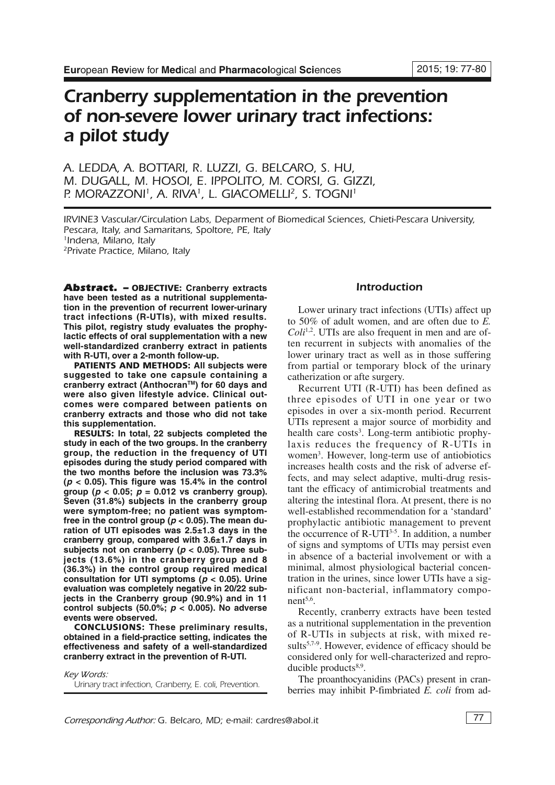# *Cranberry supplementation in the prevention of non-severe lower urinary tract infections: a pilot study*

*A. LEDDA, A. BOTTARI, R. LUZZI, G. BELCARO, S. HU, M. DUGALL, M. HOSOI, E. IPPOLITO, M. CORSI, G. GIZZI, P. MORAZZONI 1, A. RIVA1, L. GIACOMELLI 2, S. TOGNI 1*

*IRVINE3 Vascular/Circulation Labs, Deparment of Biomedical Sciences, Chieti-Pescara University, Pescara, Italy, and Samaritans, Spoltore, PE, Italy 1Indena, Milano, Italy 2Private Practice, Milano, Italy*

*Abstract. –* **OBJECTIVE: Cranberry extracts have been tested as a nutritional supplementation in the prevention of recurrent lower-urinary tract infections (R-UTIs), with mixed results. This pilot, registry study evaluates the prophylactic effects of oral supplementation with a new well-standardized cranberry extract in patients with R-UTI, over a 2-month follow-up.**

**PATIENTS AND METHODS: All subjects were suggested to take one capsule containing a cranberry extract (AnthocranTM) for 60 days and were also given lifestyle advice. Clinical outcomes were compared between patients on cranberry extracts and those who did not take this supplementation.**

**RESULTS: In total, 22 subjects completed the study in each of the two groups. In the cranberry group, the reduction in the frequency of UTI episodes during the study period compared with the two months before the inclusion was 73.3% (***p* **< 0.05). This figure was 15.4% in the control group (***p* **< 0.05;** *p* **= 0.012 vs cranberry group). Seven (31.8%) subjects in the cranberry group were symptom-free; no patient was symptomfree in the control group (***p* **< 0.05). The mean duration of UTI episodes was 2.5±1.3 days in the cranberry group, compared with 3.6±1.7 days in subjects not on cranberry (***p* **< 0.05). Three subjects (13.6%) in the cranberry group and 8 (36.3%) in the control group required medical consultation for UTI symptoms (***p* **< 0.05). Urine evaluation was completely negative in 20/22 subjects in the Cranberry group (90.9%) and in 11 control subjects (50.0%;** *p* **< 0.005). No adverse events were observed.**

**CONCLUSIONS: These preliminary results, obtained in a field-practice setting, indicates the effectiveness and safety of a well-standardized cranberry extract in the prevention of R-UTI.**

*Key Words: Urinary tract infection, Cranberry, E. coli, Prevention.*

# *Introduction*

Lower urinary tract infections (UTIs) affect up to 50% of adult women, and are often due to *E.* Coli<sup>1,2</sup>. UTIs are also frequent in men and are often recurrent in subjects with anomalies of the lower urinary tract as well as in those suffering from partial or temporary block of the urinary catherization or afte surgery.

Recurrent UTI (R-UTI) has been defined as three episodes of UTI in one year or two episodes in over a six-month period. Recurrent UTIs represent a major source of morbidity and health care costs<sup>3</sup>. Long-term antibiotic prophylaxis reduces the frequency of R-UTIs in women<sup>3</sup>. However, long-term use of antiobiotics increases health costs and the risk of adverse effects, and may select adaptive, multi-drug resistant the efficacy of antimicrobial treatments and altering the intestinal flora. At present, there is no well-established recommendation for a 'standard' prophylactic antibiotic management to prevent the occurrence of  $R$ -UTI<sup>3-5</sup>. In addition, a number of signs and symptoms of UTIs may persist even in absence of a bacterial involvement or with a minimal, almost physiological bacterial concentration in the urines, since lower UTIs have a significant non-bacterial, inflammatory component 5,6 .

Recently, cranberry extracts have been tested as a nutritional supplementation in the prevention of R-UTIs in subjects at risk, with mixed results<sup>5,7-9</sup>. However, evidence of efficacy should be considered only for well-characterized and reproducible products<sup>8,9</sup>.

The proanthocyanidins (PACs) present in cranberries may inhibit P-fimbriated *E. coli* from ad-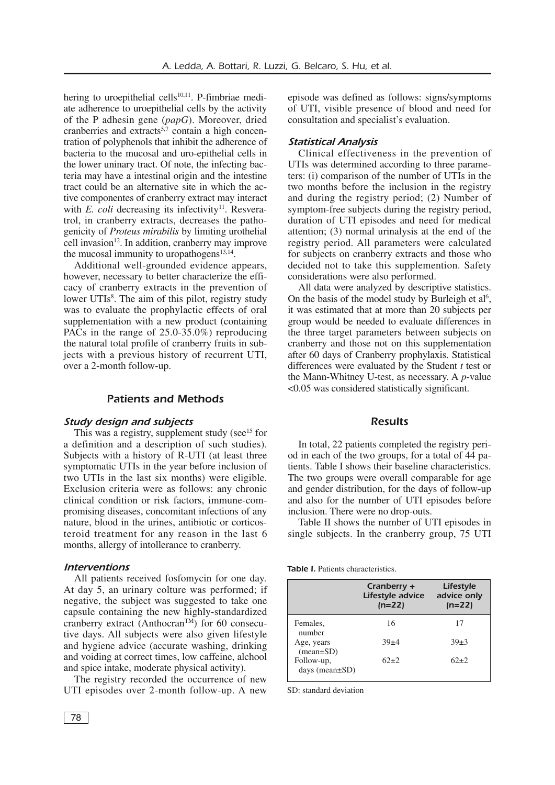hering to uroepithelial cells<sup>10,11</sup>. P-fimbriae mediate adherence to uroepithelial cells by the activity of the P adhesin gene (*papG*). Moreover, dried cranberries and extracts<sup>5,7</sup> contain a high concentration of polyphenols that inhibit the adherence of bacteria to the mucosal and uro-epithelial cells in the lower uninary tract. Of note, the infecting bacteria may have a intestinal origin and the intestine tract could be an alternative site in which the active componentes of cranberry extract may interact with *E. coli* decreasing its infectivity<sup>11</sup>. Resveratrol, in cranberry extracts, decreases the pathogenicity of *Proteus mirabilis* by limiting urothelial cell invasion<sup>12</sup>. In addition, cranberry may improve the mucosal immunity to uropathogens<sup>13,14</sup>.

Additional well-grounded evidence appears, however, necessary to better characterize the efficacy of cranberry extracts in the prevention of lower UTIs<sup>8</sup>. The aim of this pilot, registry study was to evaluate the prophylactic effects of oral supplementation with a new product (containing PACs in the range of 25.0-35.0%) reproducing the natural total profile of cranberry fruits in subjects with a previous history of recurrent UTI, over a 2-month follow-up.

# *Patients and Methods*

## *Study design and subjects*

This was a registry, supplement study (see $15$  for a definition and a description of such studies). Subjects with a history of R-UTI (at least three symptomatic UTIs in the year before inclusion of two UTIs in the last six months) were eligible. Exclusion criteria were as follows: any chronic clinical condition or risk factors, immune-compromising diseases, concomitant infections of any nature, blood in the urines, antibiotic or corticosteroid treatment for any reason in the last 6 months, allergy of intollerance to cranberry.

## *Interventions*

All patients received fosfomycin for one day. At day 5, an urinary colture was performed; if negative, the subject was suggested to take one capsule containing the new highly-standardized cranberry extract (Anthocran<sup>TM</sup>) for 60 consecutive days. All subjects were also given lifestyle and hygiene advice (accurate washing, drinking and voiding at correct times, low caffeine, alchool and spice intake, moderate physical activity).

The registry recorded the occurrence of new UTI episodes over 2-month follow-up. A new episode was defined as follows: signs/symptoms of UTI, visible presence of blood and need for consultation and specialist's evaluation.

## *Statistical Analysis*

Clinical effectiveness in the prevention of UTIs was determined according to three parameters: (i) comparison of the number of UTIs in the two months before the inclusion in the registry and during the registry period; (2) Number of symptom-free subjects during the registry period, duration of UTI episodes and need for medical attention; (3) normal urinalysis at the end of the registry period. All parameters were calculated for subjects on cranberry extracts and those who decided not to take this supplemention. Safety considerations were also performed.

All data were analyzed by descriptive statistics. On the basis of the model study by Burleigh et al<sup>6</sup>, it was estimated that at more than 20 subjects per group would be needed to evaluate differences in the three target parameters between subjects on cranberry and those not on this supplementation after 60 days of Cranberry prophylaxis. Statistical differences were evaluated by the Student *t* test or the Mann-Whitney U-test, as necessary. A *p*-value <0.05 was considered statistically significant.

## *Results*

In total, 22 patients completed the registry period in each of the two groups, for a total of 44 patients. Table I shows their baseline characteristics. The two groups were overall comparable for age and gender distribution, for the days of follow-up and also for the number of UTI episodes before inclusion. There were no drop-outs.

Table II shows the number of UTI episodes in single subjects. In the cranberry group, 75 UTI

*Table I.* Patients characteristics.

|                                    | Cranberry +<br>Lifestyle advice<br>$(n=22)$ | Lifestyle<br>advice only<br>$(n=22)$ |
|------------------------------------|---------------------------------------------|--------------------------------------|
| Females.<br>number                 | 16                                          | 17                                   |
| Age, years<br>$(mean \pm SD)$      | $39 + 4$                                    | $39+3$                               |
| Follow-up,<br>days (mean $\pm$ SD) | $62+2$                                      | $62+2$                               |

SD: standard deviation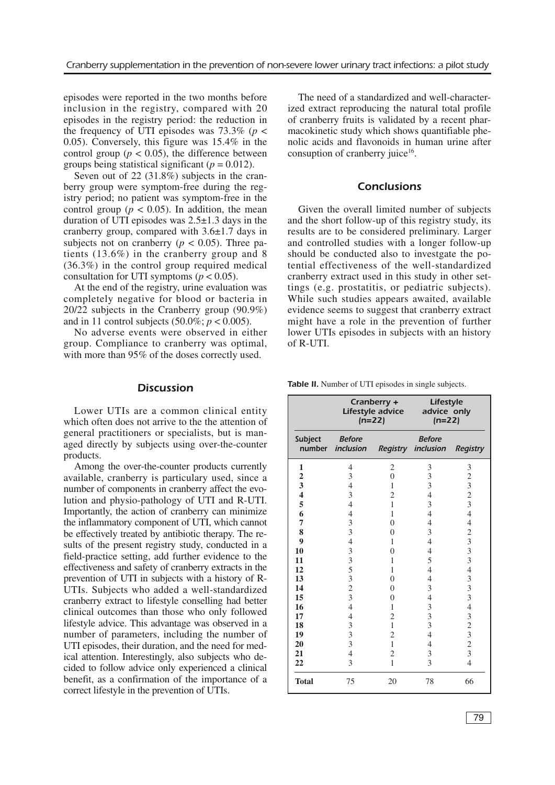episodes were reported in the two months before inclusion in the registry, compared with 20 episodes in the registry period: the reduction in the frequency of UTI episodes was  $73.3\%$  ( $p <$ 0.05). Conversely, this figure was 15.4% in the control group ( $p < 0.05$ ), the difference between groups being statistical significant ( $p = 0.012$ ).

Seven out of 22 (31.8%) subjects in the cranberry group were symptom-free during the registry period; no patient was symptom-free in the control group ( $p < 0.05$ ). In addition, the mean duration of UTI episodes was  $2.5\pm1.3$  days in the cranberry group, compared with 3.6±1.7 days in subjects not on cranberry ( $p < 0.05$ ). Three patients (13.6%) in the cranberry group and 8 (36.3%) in the control group required medical consultation for UTI symptoms ( $p < 0.05$ ).

At the end of the registry, urine evaluation was completely negative for blood or bacteria in 20/22 subjects in the Cranberry group (90.9%) and in 11 control subjects  $(50.0\%; p < 0.005)$ .

No adverse events were observed in either group. Compliance to cranberry was optimal, with more than 95% of the doses correctly used.

## *Discussion*

Lower UTIs are a common clinical entity which often does not arrive to the the attention of general practitioners or specialists, but is managed directly by subjects using over-the-counter products.

Among the over-the-counter products currently available, cranberry is particulary used, since a number of components in cranberry affect the evolution and physio-pathology of UTI and R-UTI. Importantly, the action of cranberry can minimize the inflammatory component of UTI, which cannot be effectively treated by antibiotic therapy. The results of the present registry study, conducted in a field-practice setting, add further evidence to the effectiveness and safety of cranberry extracts in the prevention of UTI in subjects with a history of R-UTIs. Subjects who added a well-standardized cranberry extract to lifestyle conselling had better clinical outcomes than those who only followed lifestyle advice. This advantage was observed in a number of parameters, including the number of UTI episodes, their duration, and the need for medical attention. Interestingly, also subjects who decided to follow advice only experienced a clinical benefit, as a confirmation of the importance of a correct lifestyle in the prevention of UTIs.

The need of a standardized and well-characterized extract reproducing the natural total profile of cranberry fruits is validated by a recent pharmacokinetic study which shows quantifiable phenolic acids and flavonoids in human urine after consuption of cranberry juice<sup>16</sup>.

# *Conclusions*

Given the overall limited number of subjects and the short follow-up of this registry study, its results are to be considered preliminary. Larger and controlled studies with a longer follow-up should be conducted also to investgate the potential effectiveness of the well-standardized cranberry extract used in this study in other settings (e.g. prostatitis, or pediatric subjects). While such studies appears awaited, available evidence seems to suggest that cranberry extract might have a role in the prevention of further lower UTIs episodes in subjects with an history of R-UTI.

*Table II.* Number of UTI episodes in single subjects.

|                         | Cranberry +<br>Lifestyle advice<br>$(n=22)$ |                  | Lifestyle<br>advice only<br>$(n=22)$ |                         |
|-------------------------|---------------------------------------------|------------------|--------------------------------------|-------------------------|
| Subject<br>number       | <b>Before</b><br>inclusion                  | <b>Registry</b>  | <b>Before</b><br>inclusion           | <b>Registry</b>         |
| 1                       | 4                                           | 2                | 3                                    | 3                       |
| $\overline{\mathbf{c}}$ | 3                                           | $\boldsymbol{0}$ | 3                                    | $\overline{c}$          |
| 3                       | $\overline{4}$                              | $\mathbf{1}$     | 3                                    | 3                       |
| $\overline{\mathbf{4}}$ | 3                                           | $\overline{c}$   | $\overline{4}$                       | $\frac{2}{3}$           |
| 5                       | $\overline{4}$                              | $\mathbf{1}$     | 3                                    |                         |
| 6                       | $\overline{4}$                              | $\mathbf{1}$     | $\overline{4}$                       | $\overline{4}$          |
| 7                       | 3                                           | $\overline{0}$   | $\overline{4}$                       | $\overline{\mathbf{4}}$ |
| 8                       | 3                                           | $\overline{0}$   | 3                                    | $\overline{c}$          |
| $\overline{9}$          | $\overline{4}$                              | 1                | $\overline{4}$                       | 3                       |
| 10                      | 335323                                      | $\overline{0}$   | $\overline{4}$                       | $\overline{\mathbf{3}}$ |
| 11                      |                                             | $\mathbf{1}$     | 5                                    | $\overline{\mathbf{3}}$ |
| 12                      |                                             | $\mathbf{1}$     | $\overline{4}$                       | $\overline{4}$          |
| 13                      |                                             | $\overline{0}$   | $\overline{4}$                       | 3                       |
| 14                      |                                             | $\overline{0}$   | 3                                    | $\overline{\mathbf{3}}$ |
| 15                      |                                             | $\overline{0}$   | $\overline{4}$                       | 3                       |
| 16                      | $\overline{4}$                              | $\mathbf{1}$     | 3                                    | $\overline{4}$          |
| 17                      | $\overline{4}$                              | $\overline{c}$   | $\overline{3}$                       | 3                       |
| 18                      | 3                                           | $\mathbf{1}$     | 3                                    | $\overline{c}$          |
| 19                      | 3                                           | $\overline{c}$   | $\overline{4}$                       | 3                       |
| 20                      | 3                                           | $\mathbf{1}$     | $\overline{4}$                       | $\frac{2}{3}$           |
| 21                      | $\overline{4}$                              | $\overline{c}$   | 3                                    |                         |
| 22                      | 3                                           | $\mathbf{1}$     | 3                                    | $\overline{\mathbf{4}}$ |
| <b>Total</b>            | 75                                          | 20               | 78                                   | 66                      |